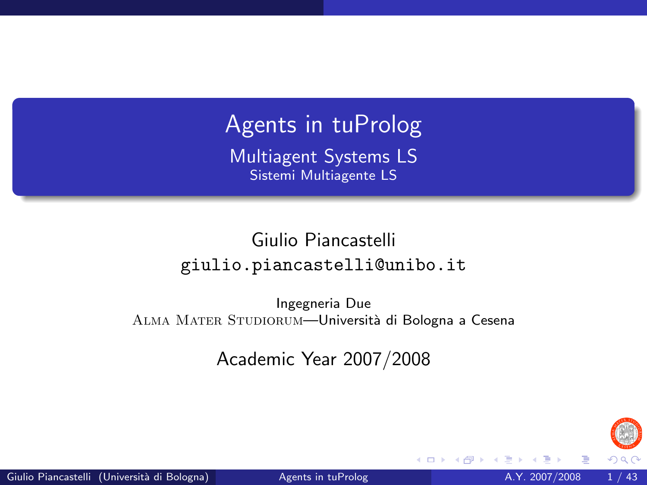Agents in tuProlog

Multiagent Systems LS Sistemi Multiagente LS

#### Giulio Piancastelli giulio.piancastelli@unibo.it

Ingegneria Due ALMA MATER STUDIORUM—Università di Bologna a Cesena

Academic Year 2007/2008

<span id="page-0-0"></span>

 $\leftarrow$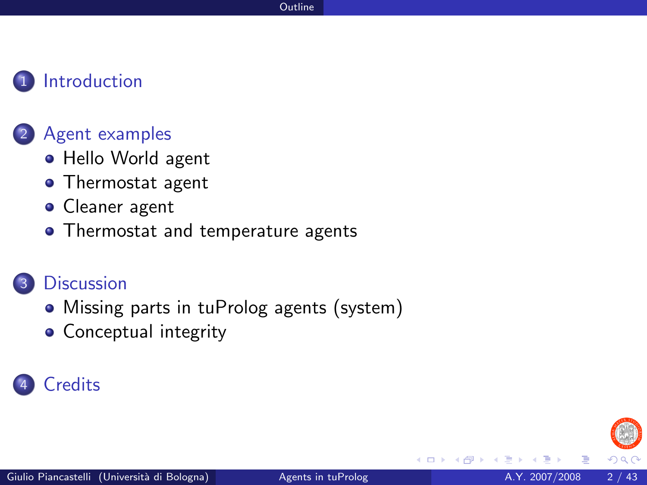#### **[Introduction](#page-2-0)**

#### [Agent examples](#page-4-0)

- [Hello World agent](#page-4-0)
- [Thermostat agent](#page-8-0)
- **•** [Cleaner agent](#page-25-0)
- [Thermostat and temperature agents](#page-31-0)

#### **[Discussion](#page-36-0)**

- [Missing parts in tuProlog agents \(system\)](#page-36-0)
- [Conceptual integrity](#page-39-0)

### **[Credits](#page-42-0)**

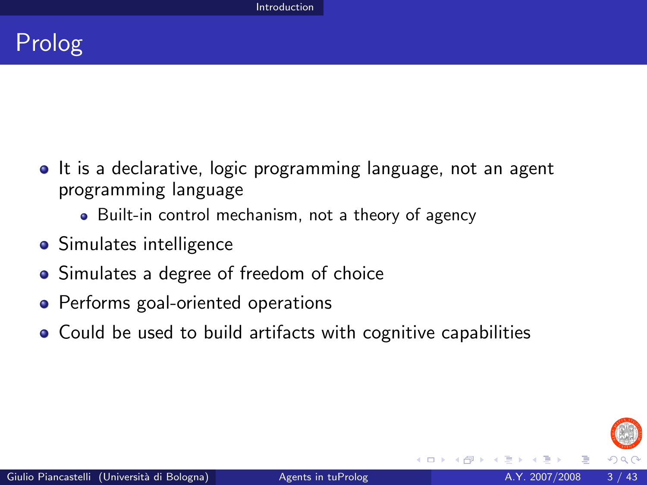

- It is a declarative, logic programming language, not an agent programming language
	- Built-in control mechanism, not a theory of agency
- **•** Simulates intelligence
- Simulates a degree of freedom of choice
- **•** Performs goal-oriented operations
- Could be used to build artifacts with cognitive capabilities

<span id="page-2-0"></span>

4 **D** F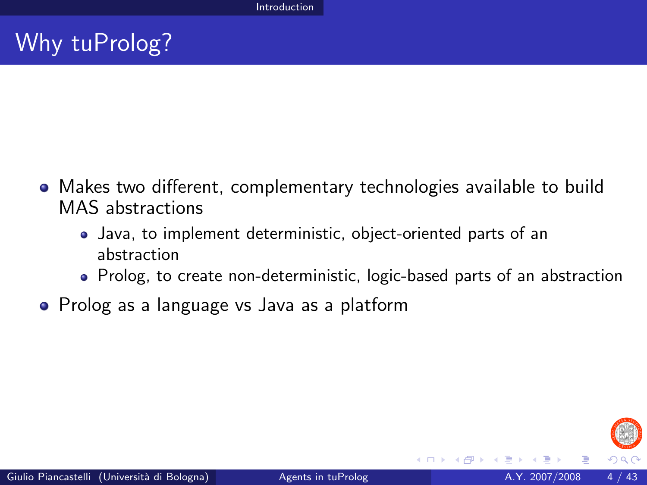# Why tuProlog?

- Makes two different, complementary technologies available to build MAS abstractions
	- Java, to implement deterministic, object-oriented parts of an abstraction
	- Prolog, to create non-deterministic, logic-based parts of an abstraction
- Prolog as a language vs Java as a platform

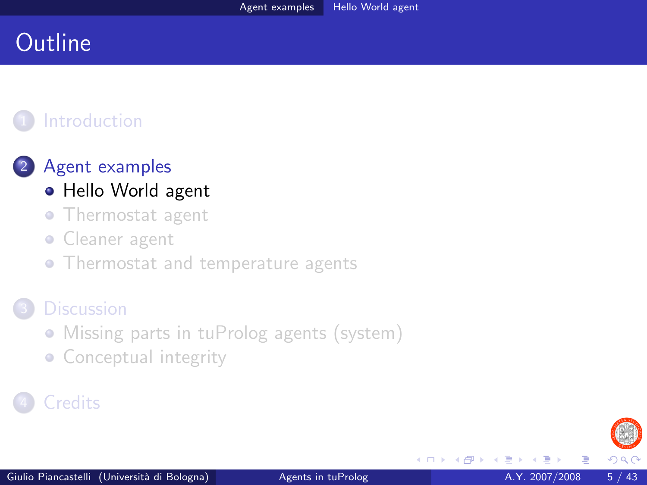## **Outline**

### **[Introduction](#page-2-0)**



- [Hello World agent](#page-4-0)
- [Thermostat agent](#page-8-0)
- [Cleaner agent](#page-25-0)  $\bullet$
- [Thermostat and temperature agents](#page-31-0)

#### **[Discussion](#page-36-0)**

- [Missing parts in tuProlog agents \(system\)](#page-36-0)
- <span id="page-4-0"></span>• [Conceptual integrity](#page-39-0)

### **[Credits](#page-42-0)**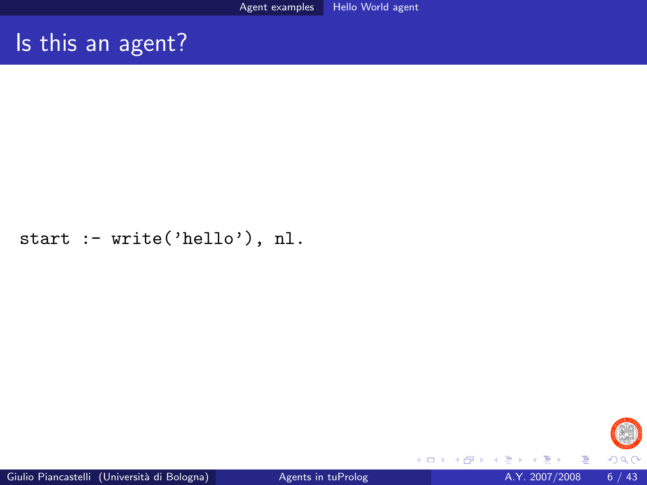## Is this an agent?

#### start :- write('hello'), nl.



4 0 8

 $\rightarrow$ 

Þ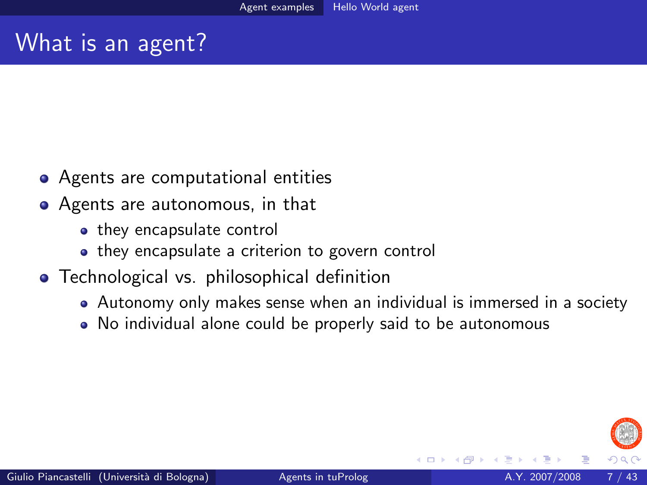## What is an agent?

- Agents are computational entities
- Agents are autonomous, in that
	- they encapsulate control
	- they encapsulate a criterion to govern control
- **•** Technological vs. philosophical definition
	- Autonomy only makes sense when an individual is immersed in a society
	- No individual alone could be properly said to be autonomous

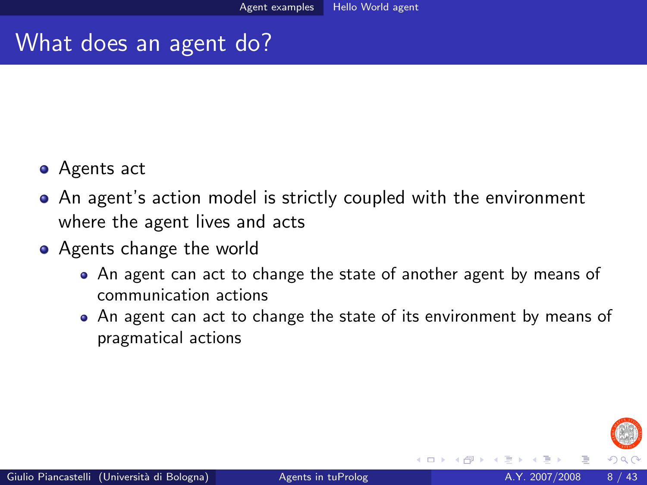### What does an agent do?

- Agents act
- An agent's action model is strictly coupled with the environment where the agent lives and acts
- Agents change the world
	- An agent can act to change the state of another agent by means of communication actions
	- An agent can act to change the state of its environment by means of pragmatical actions

4 **D** F

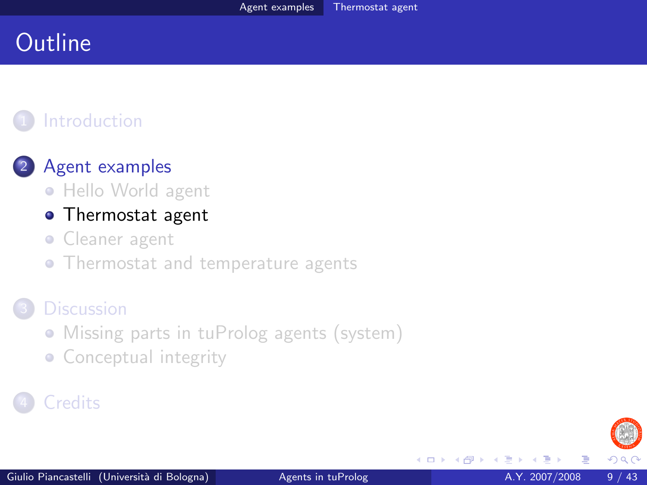## **Outline**

### **[Introduction](#page-2-0)**

#### 2 [Agent examples](#page-4-0)

• [Hello World agent](#page-4-0)

#### **•** [Thermostat agent](#page-8-0)

- **Cleaner** agent
- [Thermostat and temperature agents](#page-31-0)

#### **[Discussion](#page-36-0)**

- [Missing parts in tuProlog agents \(system\)](#page-36-0)
- <span id="page-8-0"></span>• [Conceptual integrity](#page-39-0)

### **[Credits](#page-42-0)**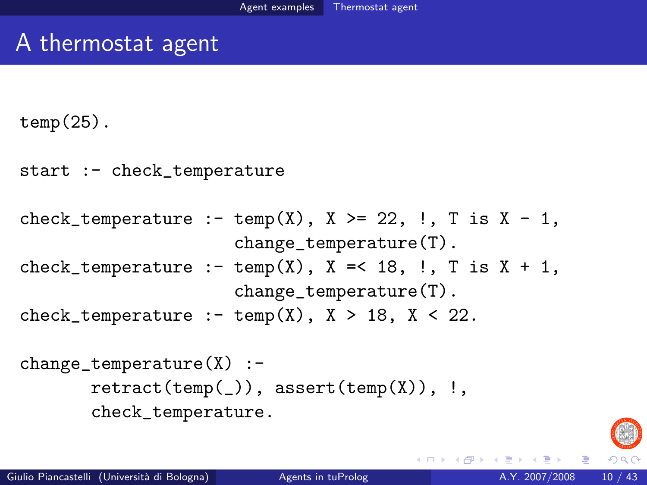## A thermostat agent

 $temp(25)$ .

```
start :- check_temperature
```

```
check_temperature :- temp(X), X \ge 22, !, T is X - 1,
                     change_temperature(T).
check_temperature :- temp(X), X = 18, \ldots T is X + 1,
                     change_temperature(T).
check_temperature :- temp(X), X > 18, X < 22.
```

```
change temperature(X) :-
       retract(temp(\_)), assert(temp(X)), !,
       check_temperature.
```


- 3

イロト イ押ト イヨト イヨト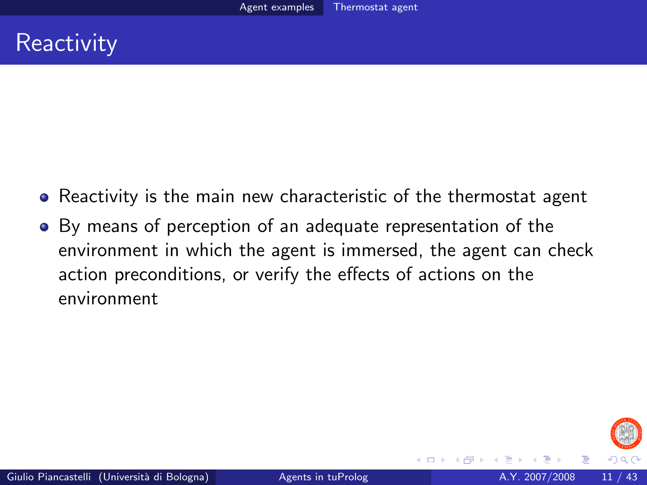- Reactivity is the main new characteristic of the thermostat agent
- By means of perception of an adequate representation of the environment in which the agent is immersed, the agent can check action preconditions, or verify the effects of actions on the environment



4 **D** F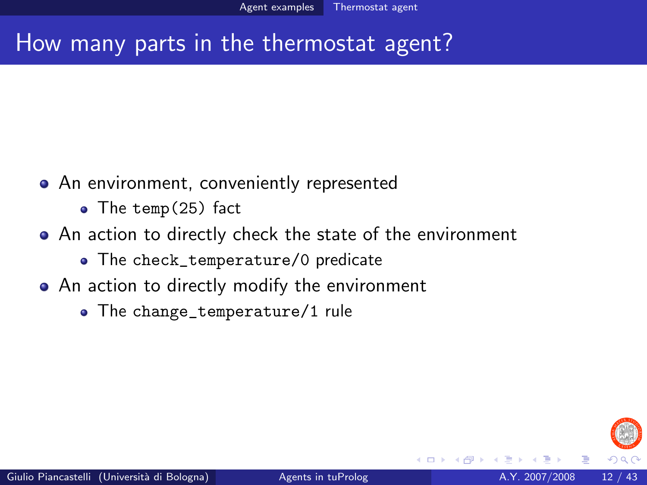## How many parts in the thermostat agent?

- An environment, conveniently represented
	- The temp(25) fact
- An action to directly check the state of the environment
	- The check\_temperature/0 predicate
- An action to directly modify the environment
	- The change\_temperature/1 rule

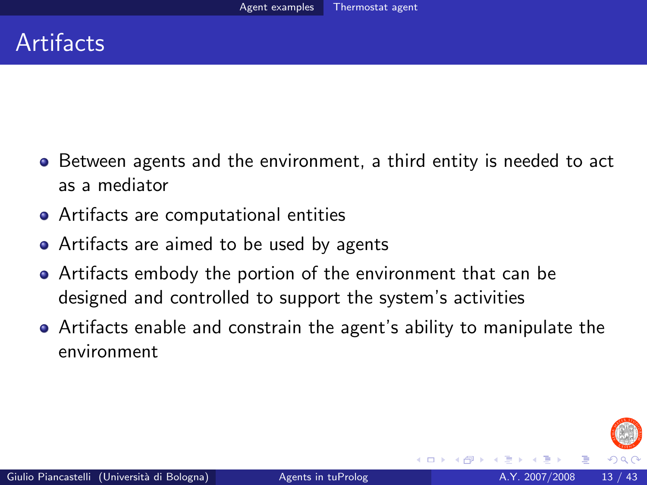## **Artifacts**

- Between agents and the environment, a third entity is needed to act as a mediator
- Artifacts are computational entities
- Artifacts are aimed to be used by agents
- Artifacts embody the portion of the environment that can be designed and controlled to support the system's activities
- Artifacts enable and constrain the agent's ability to manipulate the environment

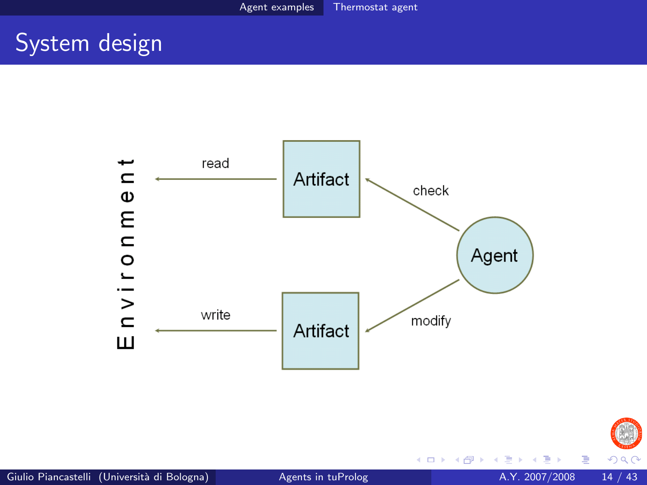## System design





 $\leftarrow$   $\Box$ 

 $\mathcal{A}$ × Þ

 $290$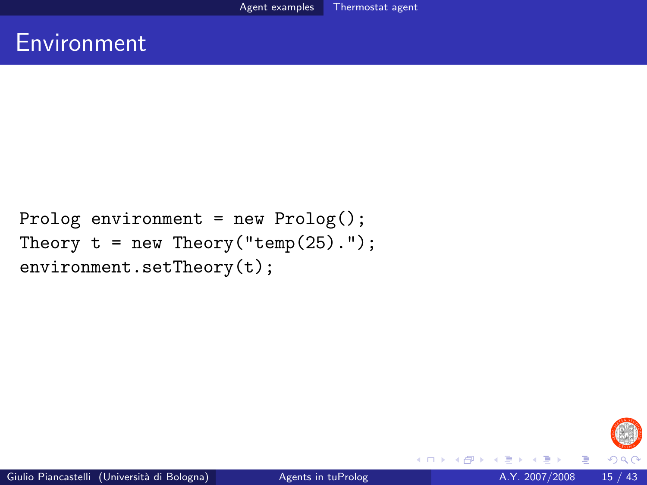```
Prolog environment = new Prolog();
Theory t = new Theory("temp(25).");
environment.setTheory(t);
```


4 D F

 $\leftarrow$   $\leftarrow$   $\leftarrow$ 

Þ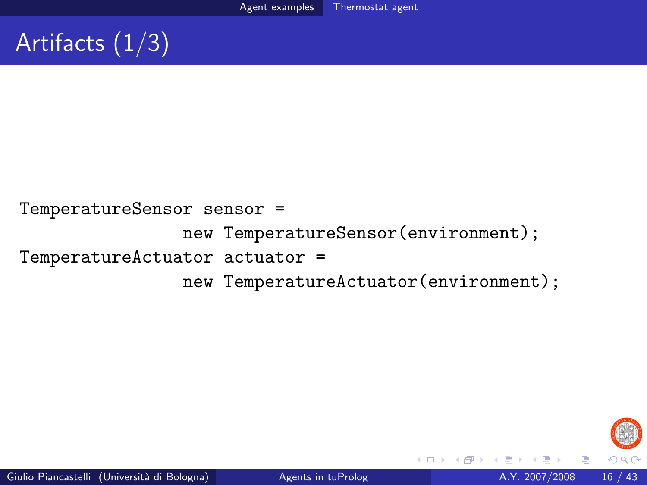# Artifacts (1/3)

TemperatureSensor sensor = new TemperatureSensor(environment); TemperatureActuator actuator = new TemperatureActuator(environment);



( □ ) ( <sub>□</sub> ) (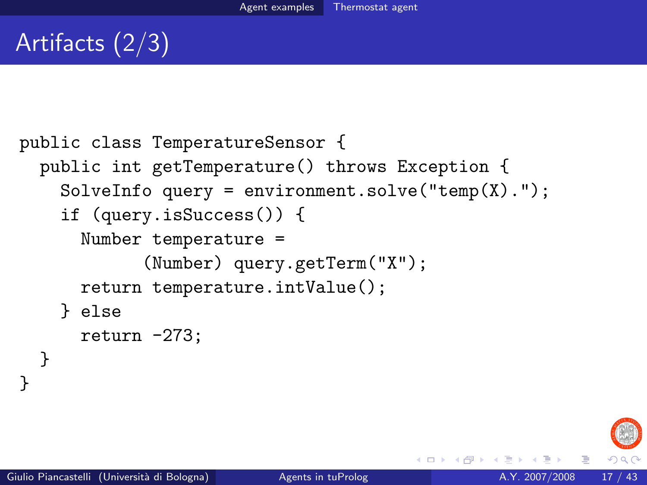# Artifacts (2/3)

```
public class TemperatureSensor {
  public int getTemperature() throws Exception {
    SolveInfo query = environment.solve("temp(X).");
    if (query.isSuccess()) {
      Number temperature =
            (Number) query.getTerm("X");
      return temperature.intValue();
    } else
      return -273;
  }
```


}

( □ ) ( <sub>□</sub> ) (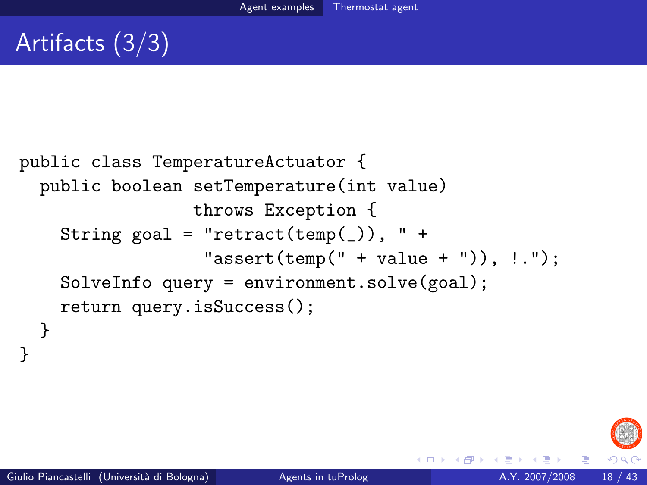# Artifacts (3/3)

```
public class TemperatureActuator {
  public boolean setTemperature(int value)
                 throws Exception {
    String goal = "retract(temp(\_)), " +
                  "assert(temp(" + value + "); : ...SolveInfo query = environment.solve(goal);
    return query.isSuccess();
  }
```


}

4 D F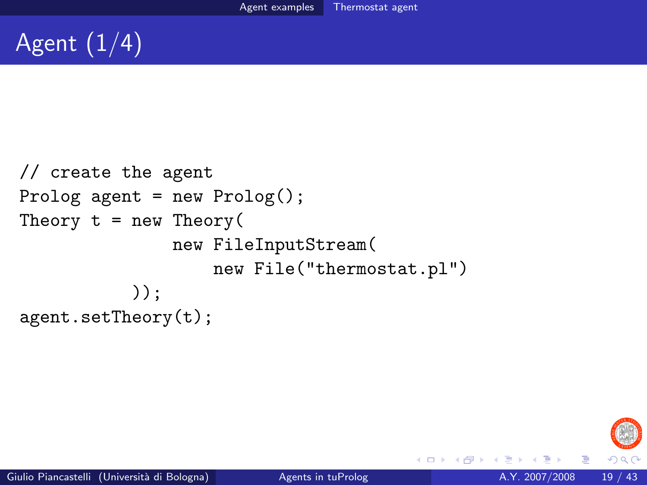# Agent  $(1/4)$

```
// create the agent
Prolog agent = new Proof;
Theory t = new Theory(new FileInputStream(
                   new File("thermostat.pl")
           ) ):
agent.setTheory(t);
```


4 0 8

э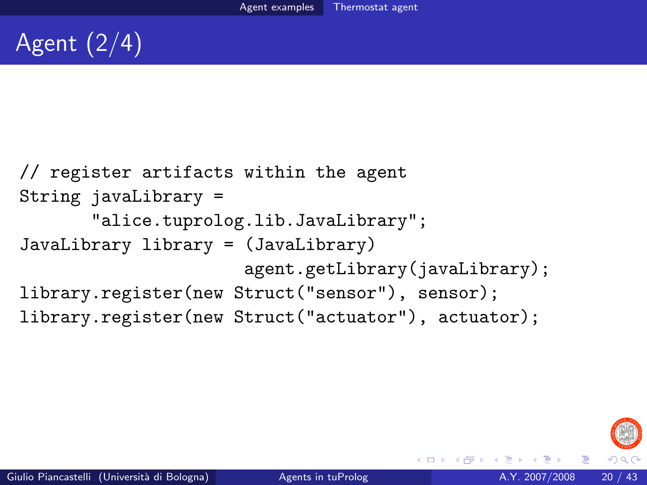```
// register artifacts within the agent
String javaLibrary =
       "alice.tuprolog.lib.JavaLibrary";
JavaLibrary library = (JavaLibrary)
                      agent.getLibrary(javaLibrary);
library.register(new Struct("sensor"), sensor);
library.register(new Struct("actuator"), actuator);
```


K □ ▶ K @ ▶ K ミ ▶ K ミ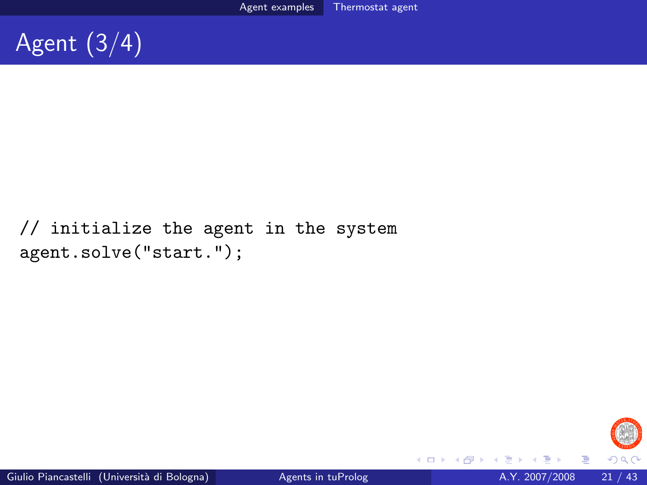

### // initialize the agent in the system agent.solve("start.");



 $\rightarrow$ э

( □ ) ( <sub>□</sub> ) (

э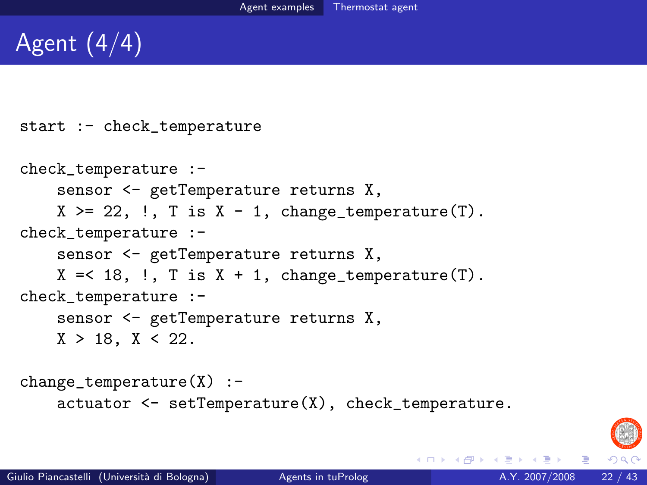# Agent (4/4)

```
start :- check_temperature
check_temperature :-
    sensor <- getTemperature returns X,
    X \geq 22, \vdots, T is X - 1, change_temperature(T).
check_temperature :-
    sensor <- getTemperature returns X,
    X = < 18, \ldots T is X + 1, change_temperature(T).
check_temperature :-
    sensor <- getTemperature returns X,
    X > 18, X < 22.
change_temperature(X) :-
    actuator <- setTemperature(X), check_temperature.
```


イロト イ何 トイヨ トイヨ トー ヨ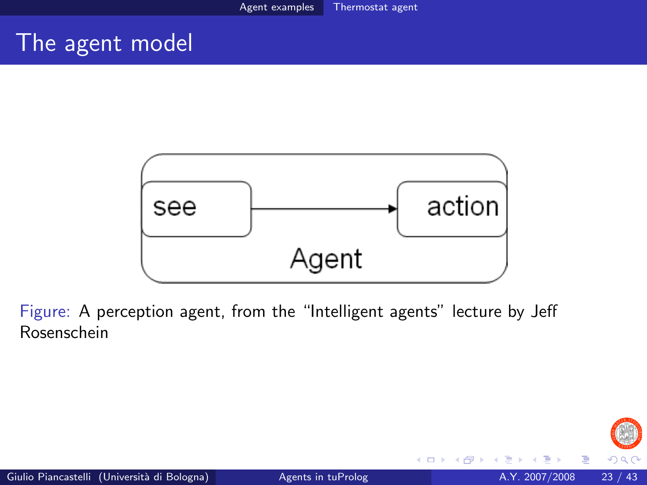### The agent model



Figure: A perception agent, from the "Intelligent agents" lecture by Jeff Rosenschein

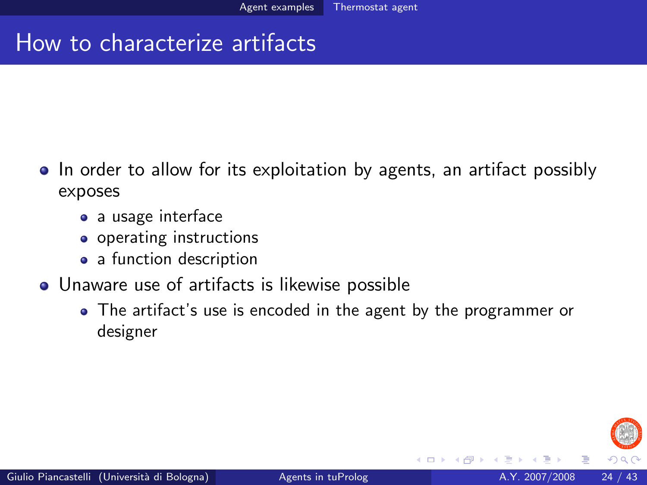## How to characterize artifacts

- In order to allow for its exploitation by agents, an artifact possibly exposes
	- a usage interface
	- **•** operating instructions
	- a function description
- Unaware use of artifacts is likewise possible
	- The artifact's use is encoded in the agent by the programmer or designer



4 **D** F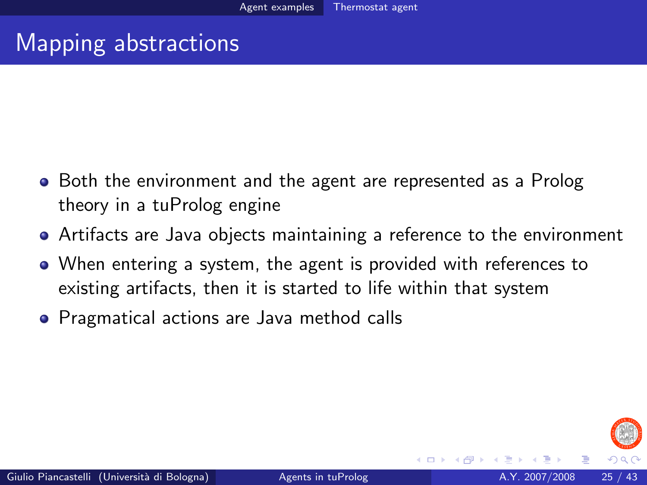## Mapping abstractions

- Both the environment and the agent are represented as a Prolog theory in a tuProlog engine
- Artifacts are Java objects maintaining a reference to the environment
- When entering a system, the agent is provided with references to existing artifacts, then it is started to life within that system
- **•** Pragmatical actions are Java method calls

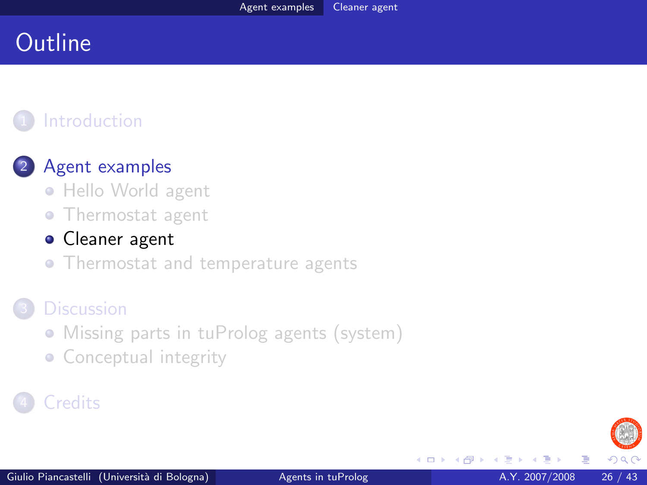## **Outline**

### **[Introduction](#page-2-0)**

#### [Agent examples](#page-4-0)

- [Hello World agent](#page-4-0)
- [Thermostat agent](#page-8-0)

#### [Cleaner agent](#page-25-0)

• [Thermostat and temperature agents](#page-31-0)

#### **[Discussion](#page-36-0)**

- [Missing parts in tuProlog agents \(system\)](#page-36-0)
- <span id="page-25-0"></span>• [Conceptual integrity](#page-39-0)

### **[Credits](#page-42-0)**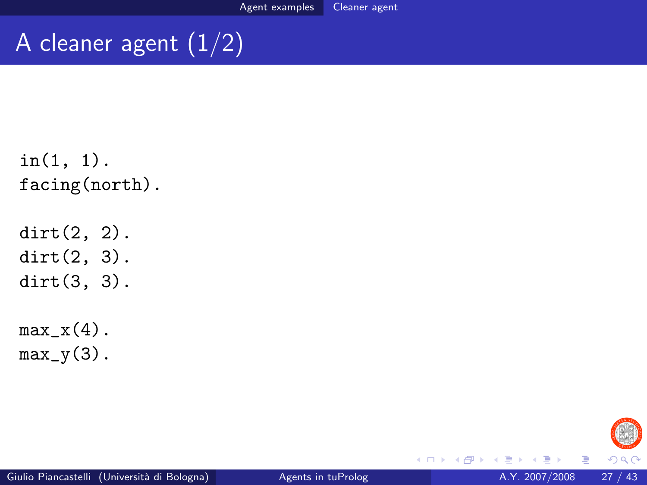# A cleaner agent  $\overline{(1/2)}$

```
in(1, 1).
facing(north).
```
dirt(2, 2). dirt(2, 3). dirt(3, 3).

 $max_x(4)$ .  $max_y(3)$ .



4 0 8

同→

画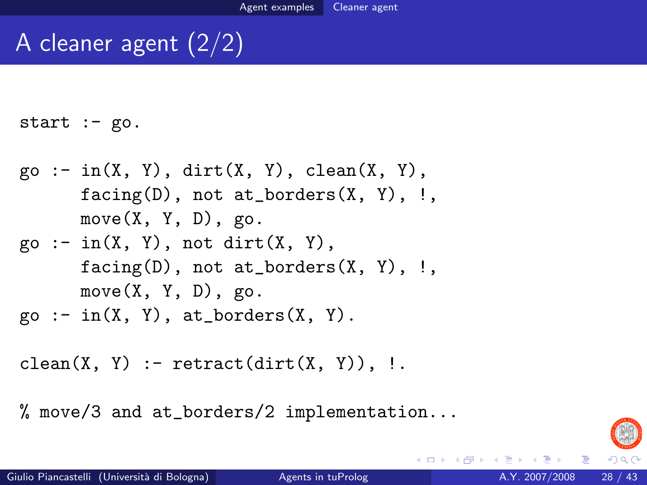# A cleaner agent (2/2)

start  $:-$  go.

- $\text{go} := \text{in}(X, Y), \text{ dirt}(X, Y), \text{ clean}(X, Y),$  $facing(D)$ , not at\_borders $(X, Y)$ , !,  $move(X, Y, D), go.$
- $go := in(X, Y)$ , not dirt $(X, Y)$ ,  $facing(D)$ , not at\_borders $(X, Y)$ , !,  $move(X, Y, D), go.$
- $go := in(X, Y), at_borders(X, Y).$

```
clean(X, Y) :- retract(\text{dirt}(X, Y)), !.
```
% move/3 and at\_borders/2 implementation...



÷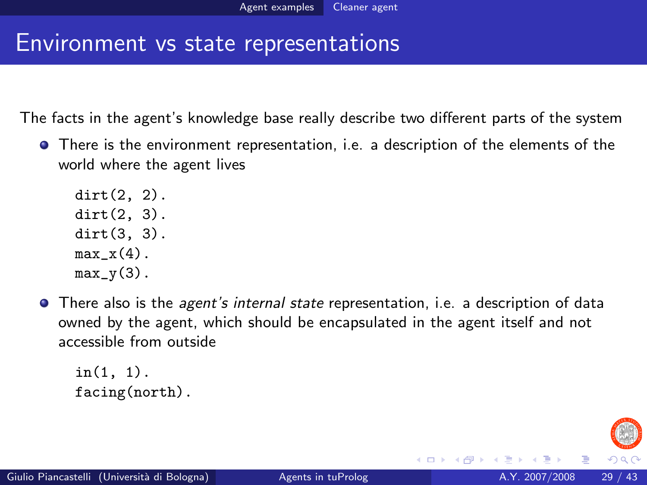### Environment vs state representations

The facts in the agent's knowledge base really describe two different parts of the system

There is the environment representation, i.e. a description of the elements of the world where the agent lives

dirt(2, 2). dirt(2, 3). dirt(3, 3).  $max x(4)$ .  $max_y(3)$ .

**•** There also is the *agent's internal state* representation, i.e. a description of data owned by the agent, which should be encapsulated in the agent itself and not accessible from outside

in(1, 1). facing(north).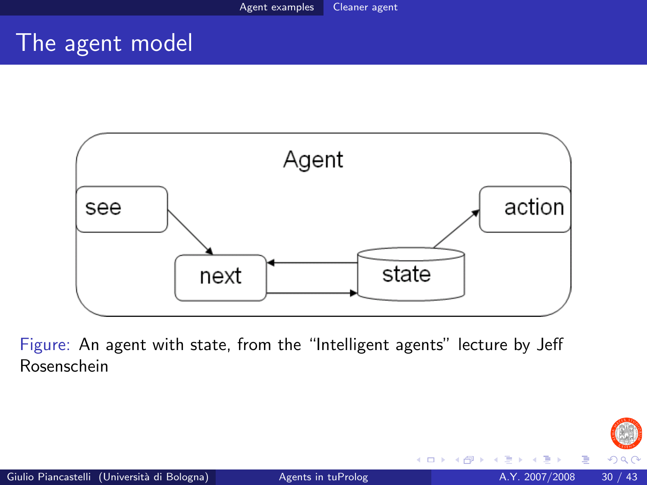### The agent model



Figure: An agent with state, from the "Intelligent agents" lecture by Jeff Rosenschein

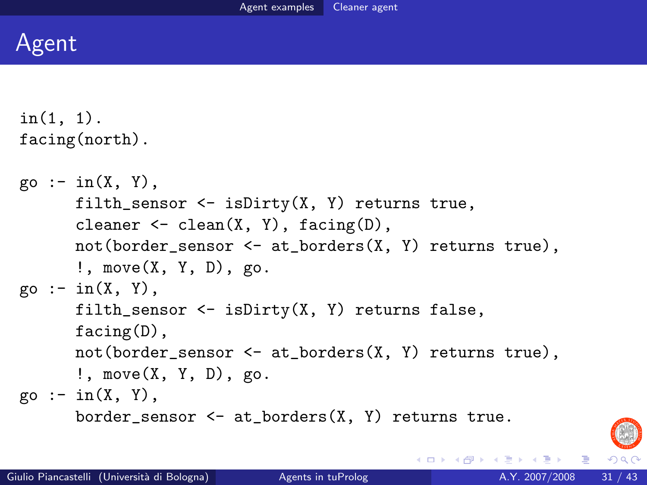

```
in(1, 1).
facing(north).
```

```
\varphi :- in(X, Y).
      filth_sensor \leq isDirty(X, Y) returns true,
      cleaner \leq clean(X, Y), facing(D),
      not(border_sensor <- at_borders(X, Y) returns true),
      !, move(X, Y, D), go.
go := in(X, Y),
      filth_sensor \leq isDirty(X, Y) returns false,
      facing(D),
      not(border_sensor <- at_borders(X, Y) returns true),
      !, move(X, Y, D), go.
go := in(X, Y),
      border_sensor \leq at_borders(X, Y) returns true.
```


D.

イロト イ押ト イヨト イヨト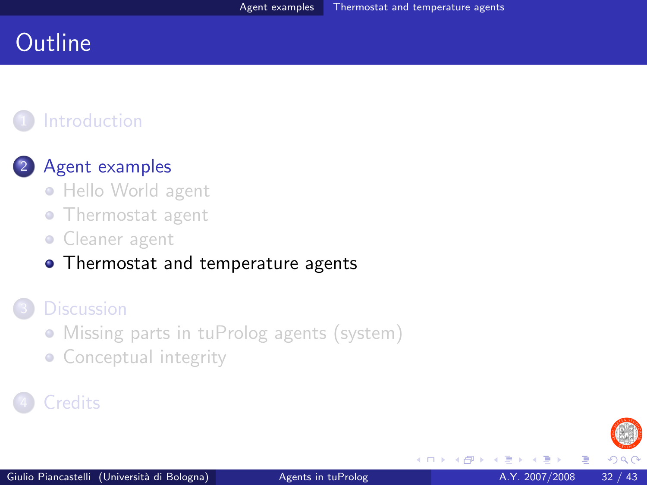## **Outline**

### **[Introduction](#page-2-0)**

#### [Agent examples](#page-4-0)

- [Hello World agent](#page-4-0)
- [Thermostat agent](#page-8-0)
- **Cleaner** agent
- [Thermostat and temperature agents](#page-31-0)

#### **[Discussion](#page-36-0)**

- [Missing parts in tuProlog agents \(system\)](#page-36-0)
- <span id="page-31-0"></span>• [Conceptual integrity](#page-39-0)

### **[Credits](#page-42-0)**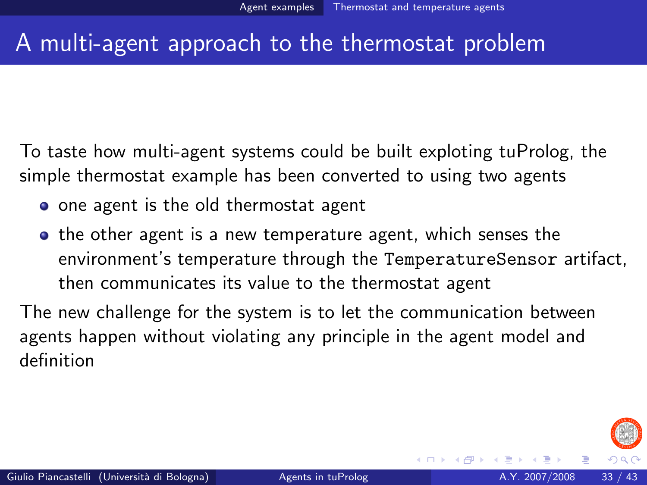## A multi-agent approach to the thermostat problem

To taste how multi-agent systems could be built exploting tuProlog, the simple thermostat example has been converted to using two agents

- one agent is the old thermostat agent
- **•** the other agent is a new temperature agent, which senses the environment's temperature through the TemperatureSensor artifact, then communicates its value to the thermostat agent

The new challenge for the system is to let the communication between agents happen without violating any principle in the agent model and definition

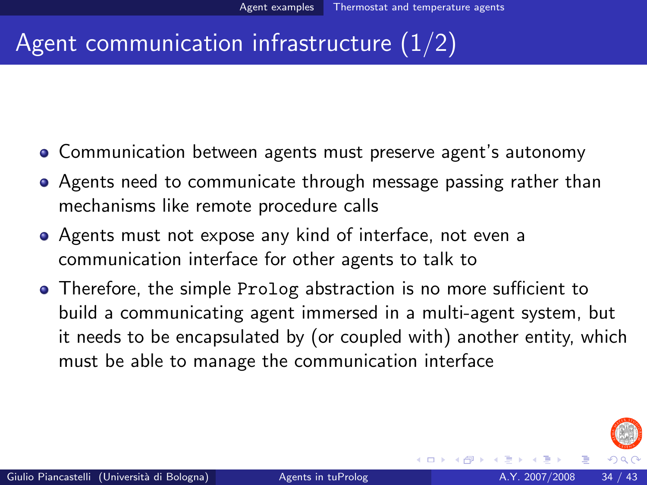## Agent communication infrastructure (1/2)

- Communication between agents must preserve agent's autonomy
- Agents need to communicate through message passing rather than mechanisms like remote procedure calls
- Agents must not expose any kind of interface, not even a communication interface for other agents to talk to
- Therefore, the simple Prolog abstraction is no more sufficient to build a communicating agent immersed in a multi-agent system, but it needs to be encapsulated by (or coupled with) another entity, which must be able to manage the communication interface

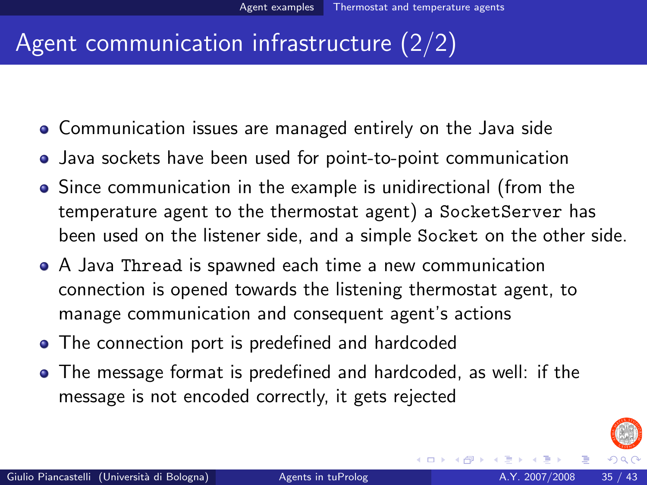## Agent communication infrastructure (2/2)

- Communication issues are managed entirely on the Java side
- Java sockets have been used for point-to-point communication
- Since communication in the example is unidirectional (from the temperature agent to the thermostat agent) a SocketServer has been used on the listener side, and a simple Socket on the other side.
- A Java Thread is spawned each time a new communication connection is opened towards the listening thermostat agent, to manage communication and consequent agent's actions
- The connection port is predefined and hardcoded
- The message format is predefined and hardcoded, as well: if the message is not encoded correctly, it gets rejected

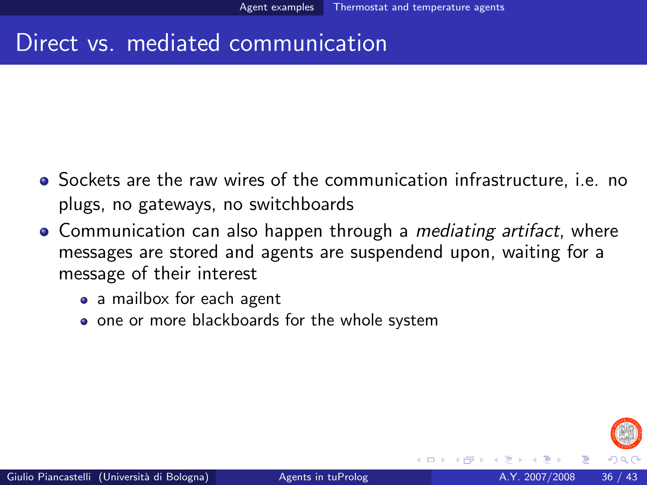## Direct vs. mediated communication

- Sockets are the raw wires of the communication infrastructure, i.e. no plugs, no gateways, no switchboards
- Communication can also happen through a *mediating artifact*, where messages are stored and agents are suspendend upon, waiting for a message of their interest
	- a mailbox for each agent
	- one or more blackboards for the whole system

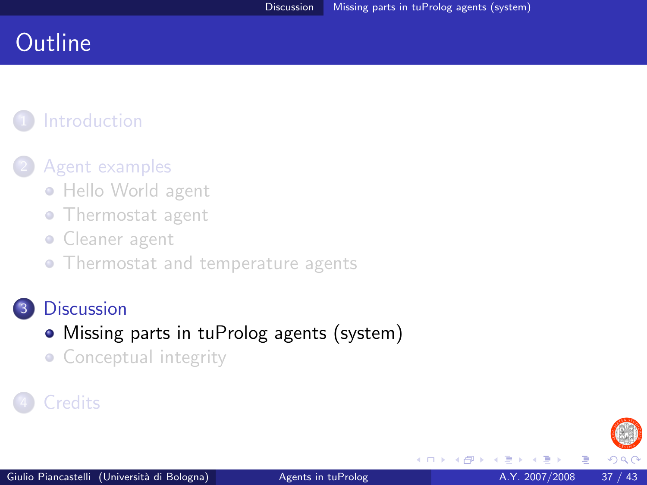## **Outline**

## **[Introduction](#page-2-0)**

#### [Agent examples](#page-4-0)

- [Hello World agent](#page-4-0)
- [Thermostat agent](#page-8-0)
- **Cleaner** agent
- [Thermostat and temperature agents](#page-31-0)

#### **[Discussion](#page-36-0)**

- [Missing parts in tuProlog agents \(system\)](#page-36-0)
- <span id="page-36-0"></span>• [Conceptual integrity](#page-39-0)

### **[Credits](#page-42-0)**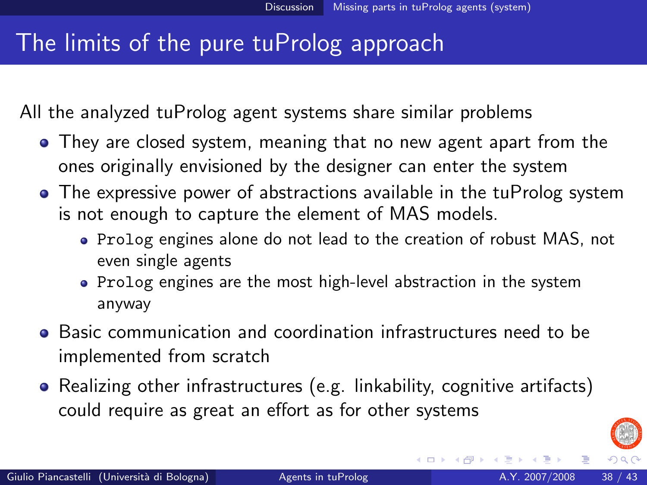## The limits of the pure tuProlog approach

All the analyzed tuProlog agent systems share similar problems

- They are closed system, meaning that no new agent apart from the ones originally envisioned by the designer can enter the system
- The expressive power of abstractions available in the tuProlog system is not enough to capture the element of MAS models.
	- Prolog engines alone do not lead to the creation of robust MAS, not even single agents
	- Prolog engines are the most high-level abstraction in the system anyway
- Basic communication and coordination infrastructures need to be implemented from scratch
- Realizing other infrastructures (e.g. linkability, cognitive artifacts) could require as great an effort as for other systems

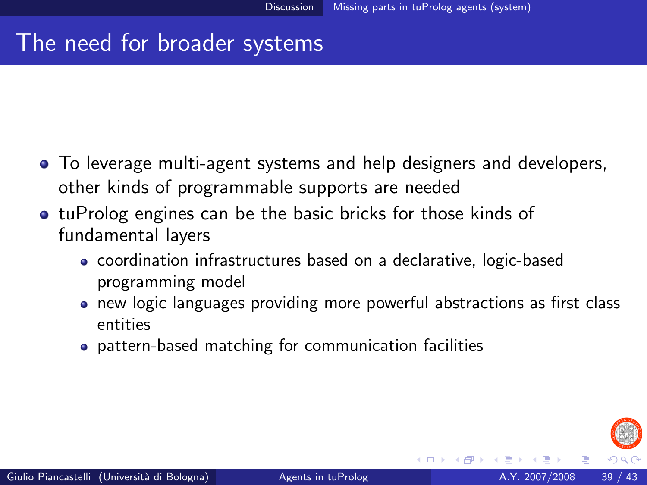## The need for broader systems

- To leverage multi-agent systems and help designers and developers, other kinds of programmable supports are needed
- **tuProlog engines can be the basic bricks for those kinds of** fundamental layers
	- coordination infrastructures based on a declarative, logic-based programming model
	- new logic languages providing more powerful abstractions as first class entities
	- pattern-based matching for communication facilities

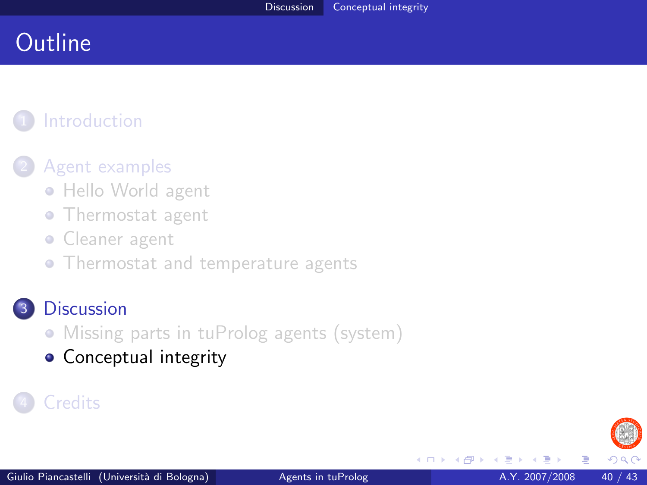## **Outline**

## **[Introduction](#page-2-0)**

#### [Agent examples](#page-4-0)

- [Hello World agent](#page-4-0)
- [Thermostat agent](#page-8-0)
- **Cleaner** agent
- [Thermostat and temperature agents](#page-31-0)

#### **[Discussion](#page-36-0)**

- [Missing parts in tuProlog agents \(system\)](#page-36-0)
- <span id="page-39-0"></span>[Conceptual integrity](#page-39-0)

### **[Credits](#page-42-0)**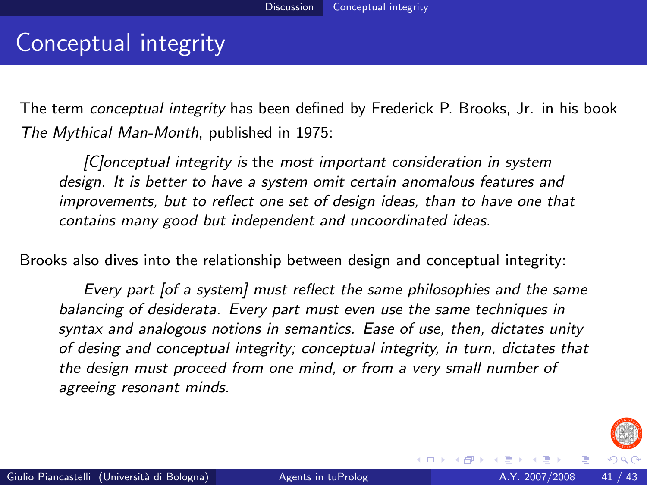## Conceptual integrity

The term *conceptual integrity* has been defined by Frederick P. Brooks, Jr. in his book The Mythical Man-Month, published in 1975:

[C]onceptual integrity is the most important consideration in system design. It is better to have a system omit certain anomalous features and improvements, but to reflect one set of design ideas, than to have one that contains many good but independent and uncoordinated ideas.

Brooks also dives into the relationship between design and conceptual integrity:

Every part [of a system] must reflect the same philosophies and the same balancing of desiderata. Every part must even use the same techniques in syntax and analogous notions in semantics. Ease of use, then, dictates unity of desing and conceptual integrity; conceptual integrity, in turn, dictates that the design must proceed from one mind, or from a very small number of agreeing resonant minds.



イロメ イ母メ イヨメ イヨ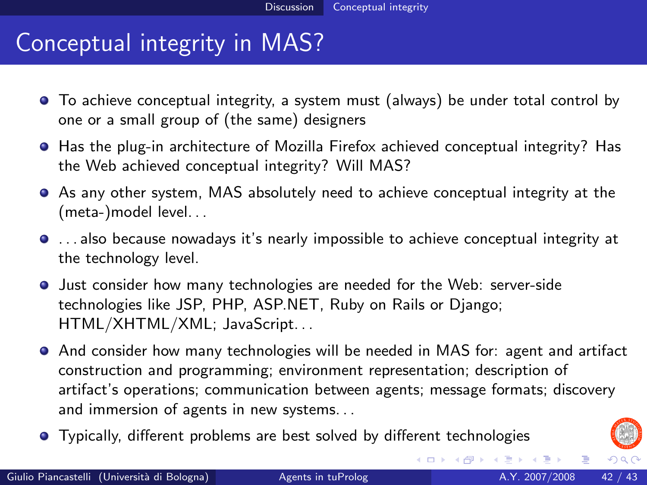## Conceptual integrity in MAS?

- To achieve conceptual integrity, a system must (always) be under total control by one or a small group of (the same) designers
- Has the plug-in architecture of Mozilla Firefox achieved conceptual integrity? Has the Web achieved conceptual integrity? Will MAS?
- As any other system, MAS absolutely need to achieve conceptual integrity at the (meta-)model level. . .
- . . . also because nowadays it's nearly impossible to achieve conceptual integrity at the technology level.
- Just consider how many technologies are needed for the Web: server-side technologies like JSP, PHP, ASP.NET, Ruby on Rails or Django; HTML/XHTML/XML; JavaScript. . .
- And consider how many technologies will be needed in MAS for: agent and artifact construction and programming; environment representation; description of artifact's operations; communication between agents; message formats; discovery and immersion of agents in new systems. . .
- Typically, different problems are best solved by different technologies



イロト イ御 トメ ミトメ 毛